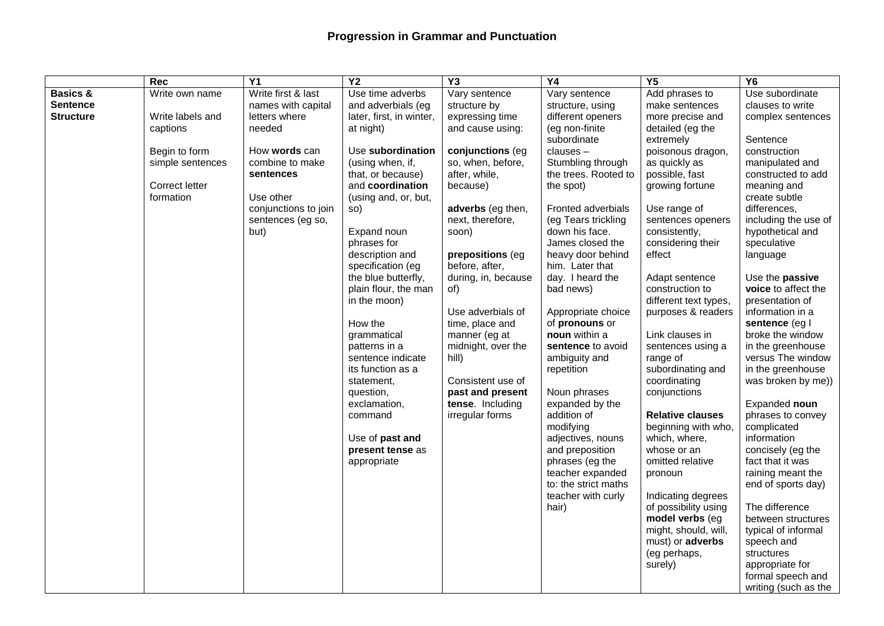## **Progression in Grammar and Punctuation**

|                     | <b>Rec</b>       | Y1                   | $\overline{Y2}$                    | Y3                  | Y4                              | Y5                            | Y6                                     |
|---------------------|------------------|----------------------|------------------------------------|---------------------|---------------------------------|-------------------------------|----------------------------------------|
| <b>Basics &amp;</b> | Write own name   | Write first & last   | Use time adverbs                   | Vary sentence       | Vary sentence                   | Add phrases to                | Use subordinate                        |
| <b>Sentence</b>     |                  | names with capital   | and adverbials (eg                 | structure by        | structure, using                | make sentences                | clauses to write                       |
| <b>Structure</b>    | Write labels and | letters where        | later, first, in winter,           | expressing time     | different openers               | more precise and              | complex sentences                      |
|                     | captions         | needed               | at night)                          | and cause using:    | (eg non-finite                  | detailed (eg the              |                                        |
|                     |                  |                      |                                    |                     | subordinate                     | extremely                     | Sentence                               |
|                     | Begin to form    | How words can        | Use subordination                  | conjunctions (eg    | clauses-                        | poisonous dragon,             | construction                           |
|                     | simple sentences | combine to make      | (using when, if,                   | so, when, before,   | Stumbling through               | as quickly as                 | manipulated and                        |
|                     |                  | sentences            | that, or because)                  | after, while,       | the trees. Rooted to            | possible, fast                | constructed to add                     |
|                     | Correct letter   |                      | and coordination                   | because)            | the spot)                       | growing fortune               | meaning and                            |
|                     | formation        | Use other            | (using and, or, but,               |                     |                                 |                               | create subtle                          |
|                     |                  | conjunctions to join | so)                                | adverbs (eg then,   | Fronted adverbials              | Use range of                  | differences,                           |
|                     |                  | sentences (eg so,    |                                    | next, therefore,    | (eg Tears trickling             | sentences openers             | including the use of                   |
|                     |                  | but)                 | Expand noun                        | soon)               | down his face.                  | consistently,                 | hypothetical and                       |
|                     |                  |                      | phrases for                        |                     | James closed the                | considering their             | speculative                            |
|                     |                  |                      | description and                    | prepositions (eg    | heavy door behind               | effect                        | language                               |
|                     |                  |                      | specification (eg                  | before, after,      | him. Later that                 |                               |                                        |
|                     |                  |                      | the blue butterfly,                | during, in, because | day. I heard the                | Adapt sentence                | Use the passive                        |
|                     |                  |                      | plain flour, the man               | of)                 | bad news)                       | construction to               | voice to affect the                    |
|                     |                  |                      | in the moon)                       |                     |                                 | different text types,         | presentation of                        |
|                     |                  |                      |                                    | Use adverbials of   | Appropriate choice              | purposes & readers            | information in a                       |
|                     |                  |                      | How the                            | time, place and     | of pronouns or<br>noun within a |                               | sentence (eg l                         |
|                     |                  |                      | grammatical                        | manner (eg at       | sentence to avoid               | Link clauses in               | broke the window                       |
|                     |                  |                      | patterns in a<br>sentence indicate | midnight, over the  | ambiguity and                   | sentences using a<br>range of | in the greenhouse<br>versus The window |
|                     |                  |                      | its function as a                  | hill)               | repetition                      | subordinating and             | in the greenhouse                      |
|                     |                  |                      | statement,                         | Consistent use of   |                                 | coordinating                  | was broken by me))                     |
|                     |                  |                      | question,                          | past and present    | Noun phrases                    | conjunctions                  |                                        |
|                     |                  |                      | exclamation,                       | tense. Including    | expanded by the                 |                               | Expanded noun                          |
|                     |                  |                      | command                            | irregular forms     | addition of                     | <b>Relative clauses</b>       | phrases to convey                      |
|                     |                  |                      |                                    |                     | modifying                       | beginning with who,           | complicated                            |
|                     |                  |                      | Use of past and                    |                     | adjectives, nouns               | which, where,                 | information                            |
|                     |                  |                      | present tense as                   |                     | and preposition                 | whose or an                   | concisely (eg the                      |
|                     |                  |                      | appropriate                        |                     | phrases (eg the                 | omitted relative              | fact that it was                       |
|                     |                  |                      |                                    |                     | teacher expanded                | pronoun                       | raining meant the                      |
|                     |                  |                      |                                    |                     | to: the strict maths            |                               | end of sports day)                     |
|                     |                  |                      |                                    |                     | teacher with curly              | Indicating degrees            |                                        |
|                     |                  |                      |                                    |                     | hair)                           | of possibility using          | The difference                         |
|                     |                  |                      |                                    |                     |                                 | model verbs (eg               | between structures                     |
|                     |                  |                      |                                    |                     |                                 | might, should, will,          | typical of informal                    |
|                     |                  |                      |                                    |                     |                                 | must) or adverbs              | speech and                             |
|                     |                  |                      |                                    |                     |                                 | (eg perhaps,                  | structures                             |
|                     |                  |                      |                                    |                     |                                 | surely)                       | appropriate for                        |
|                     |                  |                      |                                    |                     |                                 |                               | formal speech and                      |
|                     |                  |                      |                                    |                     |                                 |                               | writing (such as the                   |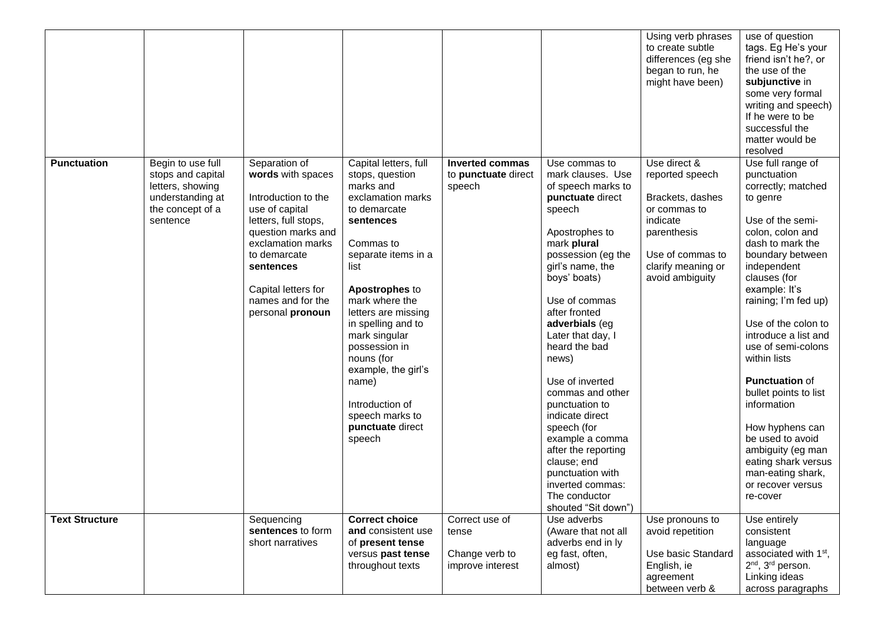|                       |                                                                                                                |                                                                                                                                                                                                                                             |                                                                                                                                                                                                                                                                                                                                                                                          |                                                               |                                                                                                                                                                                                                                                                                                                                                                                                                                                                                                                          | Using verb phrases<br>to create subtle<br>differences (eg she<br>began to run, he<br>might have been)                                                       | use of question<br>tags. Eg He's your<br>friend isn't he?, or<br>the use of the<br>subjunctive in<br>some very formal<br>writing and speech)<br>If he were to be<br>successful the<br>matter would be<br>resolved                                                                                                                                                                                                                                                                                                         |
|-----------------------|----------------------------------------------------------------------------------------------------------------|---------------------------------------------------------------------------------------------------------------------------------------------------------------------------------------------------------------------------------------------|------------------------------------------------------------------------------------------------------------------------------------------------------------------------------------------------------------------------------------------------------------------------------------------------------------------------------------------------------------------------------------------|---------------------------------------------------------------|--------------------------------------------------------------------------------------------------------------------------------------------------------------------------------------------------------------------------------------------------------------------------------------------------------------------------------------------------------------------------------------------------------------------------------------------------------------------------------------------------------------------------|-------------------------------------------------------------------------------------------------------------------------------------------------------------|---------------------------------------------------------------------------------------------------------------------------------------------------------------------------------------------------------------------------------------------------------------------------------------------------------------------------------------------------------------------------------------------------------------------------------------------------------------------------------------------------------------------------|
| <b>Punctuation</b>    | Begin to use full<br>stops and capital<br>letters, showing<br>understanding at<br>the concept of a<br>sentence | Separation of<br>words with spaces<br>Introduction to the<br>use of capital<br>letters, full stops,<br>question marks and<br>exclamation marks<br>to demarcate<br>sentences<br>Capital letters for<br>names and for the<br>personal pronoun | Capital letters, full<br>stops, question<br>marks and<br>exclamation marks<br>to demarcate<br>sentences<br>Commas to<br>separate items in a<br>list<br>Apostrophes to<br>mark where the<br>letters are missing<br>in spelling and to<br>mark singular<br>possession in<br>nouns (for<br>example, the girl's<br>name)<br>Introduction of<br>speech marks to<br>punctuate direct<br>speech | <b>Inverted commas</b><br>to punctuate direct<br>speech       | Use commas to<br>mark clauses. Use<br>of speech marks to<br>punctuate direct<br>speech<br>Apostrophes to<br>mark plural<br>possession (eg the<br>girl's name, the<br>boys' boats)<br>Use of commas<br>after fronted<br>adverbials (eg<br>Later that day, I<br>heard the bad<br>news)<br>Use of inverted<br>commas and other<br>punctuation to<br>indicate direct<br>speech (for<br>example a comma<br>after the reporting<br>clause; end<br>punctuation with<br>inverted commas:<br>The conductor<br>shouted "Sit down") | Use direct &<br>reported speech<br>Brackets, dashes<br>or commas to<br>indicate<br>parenthesis<br>Use of commas to<br>clarify meaning or<br>avoid ambiguity | Use full range of<br>punctuation<br>correctly; matched<br>to genre<br>Use of the semi-<br>colon, colon and<br>dash to mark the<br>boundary between<br>independent<br>clauses (for<br>example: It's<br>raining; I'm fed up)<br>Use of the colon to<br>introduce a list and<br>use of semi-colons<br>within lists<br><b>Punctuation of</b><br>bullet points to list<br>information<br>How hyphens can<br>be used to avoid<br>ambiguity (eg man<br>eating shark versus<br>man-eating shark,<br>or recover versus<br>re-cover |
| <b>Text Structure</b> |                                                                                                                | Sequencing<br>sentences to form<br>short narratives                                                                                                                                                                                         | <b>Correct choice</b><br>and consistent use<br>of present tense<br>versus past tense<br>throughout texts                                                                                                                                                                                                                                                                                 | Correct use of<br>tense<br>Change verb to<br>improve interest | Use adverbs<br>(Aware that not all<br>adverbs end in ly<br>eg fast, often,<br>almost)                                                                                                                                                                                                                                                                                                                                                                                                                                    | Use pronouns to<br>avoid repetition<br>Use basic Standard<br>English, ie<br>agreement<br>between verb &                                                     | Use entirely<br>consistent<br>language<br>associated with 1 <sup>st</sup> ,<br>2 <sup>nd</sup> , 3 <sup>rd</sup> person.<br>Linking ideas<br>across paragraphs                                                                                                                                                                                                                                                                                                                                                            |